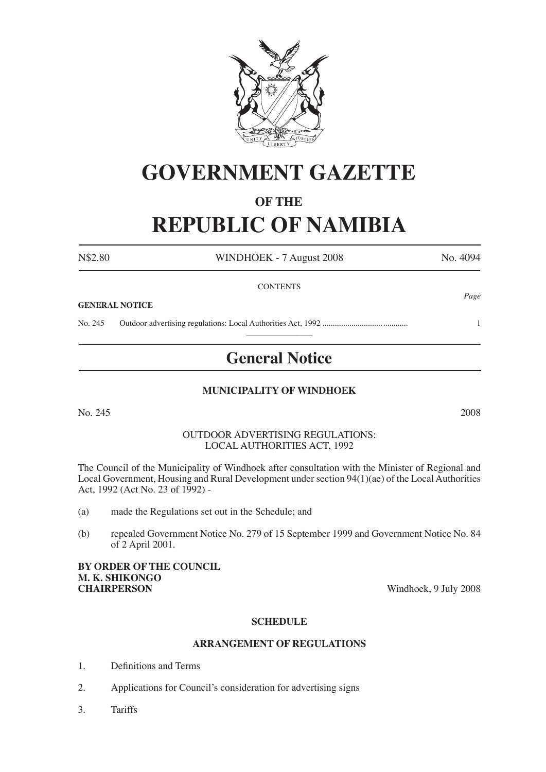

# **GOVERNMENT GAZETTE**

### **OF THE**

## **REPUBLIC OF NAMIBIA**

N\$2.80 WINDHOEK - 7 August 2008 No. 4094 **CONTENTS** *Page* **GENERAL NOTICE** No. 245 Outdoor advertising regulations: Local Authorities Act, 1992 ......................................... 1  $\overline{\phantom{a}}$  , where  $\overline{\phantom{a}}$ **General Notice**

#### **MUNICIPALITY OF WINDHOEK**

No. 245 2008

#### OUTDOOR ADVERTISING REGULATIONS: LOCAL AUTHORITIES ACT, 1992

The Council of the Municipality of Windhoek after consultation with the Minister of Regional and Local Government, Housing and Rural Development under section 94(1)(ae) of the Local Authorities Act, 1992 (Act No. 23 of 1992) -

- (a) made the Regulations set out in the Schedule; and
- (b) repealed Government Notice No. 279 of 15 September 1999 and Government Notice No. 84 of 2 April 2001.

### **BY ORDER OF THE COUNCIL M. K. SHIKONGO**

Windhoek, 9 July 2008

#### **SCHEDULE**

#### **ARRANGEMENT OF REGULATIONS**

- 1. Definitions and Terms
- 2. Applications for Council's consideration for advertising signs
- 3. Tariffs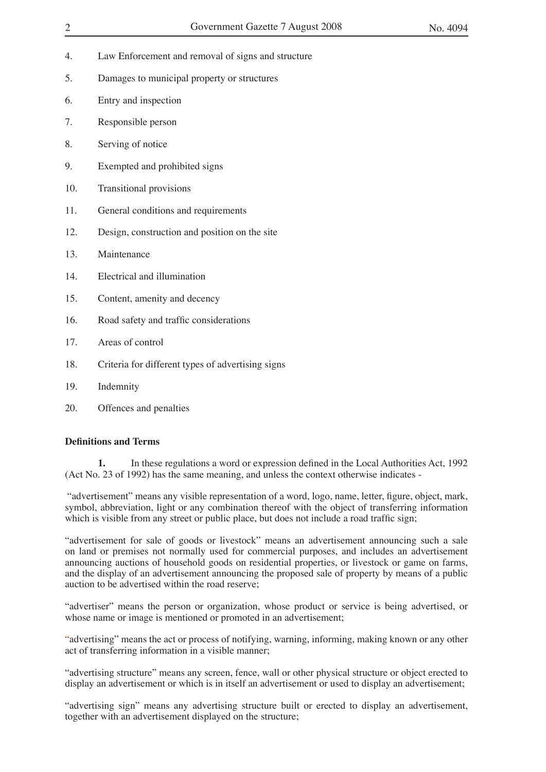- 4. Law Enforcement and removal of signs and structure
- 5. Damages to municipal property or structures
- 6. Entry and inspection
- 7. Responsible person
- 8. Serving of notice
- 9. Exempted and prohibited signs
- 10. Transitional provisions
- 11. General conditions and requirements
- 12. Design, construction and position on the site
- 13. Maintenance
- 14. Electrical and illumination
- 15. Content, amenity and decency
- 16. Road safety and traffic considerations
- 17. Areas of control
- 18. Criteria for different types of advertising signs
- 19. Indemnity
- 20. Offences and penalties

#### **Definitions and Terms**

**1.** In these regulations a word or expression defined in the Local Authorities Act, 1992 (Act No. 23 of 1992) has the same meaning, and unless the context otherwise indicates -

 "advertisement" means any visible representation of a word, logo, name, letter, figure, object, mark, symbol, abbreviation, light or any combination thereof with the object of transferring information which is visible from any street or public place, but does not include a road traffic sign;

"advertisement for sale of goods or livestock" means an advertisement announcing such a sale on land or premises not normally used for commercial purposes, and includes an advertisement announcing auctions of household goods on residential properties, or livestock or game on farms, and the display of an advertisement announcing the proposed sale of property by means of a public auction to be advertised within the road reserve;

"advertiser" means the person or organization, whose product or service is being advertised, or whose name or image is mentioned or promoted in an advertisement;

"advertising" means the act or process of notifying, warning, informing, making known or any other act of transferring information in a visible manner;

"advertising structure" means any screen, fence, wall or other physical structure or object erected to display an advertisement or which is in itself an advertisement or used to display an advertisement;

"advertising sign" means any advertising structure built or erected to display an advertisement, together with an advertisement displayed on the structure;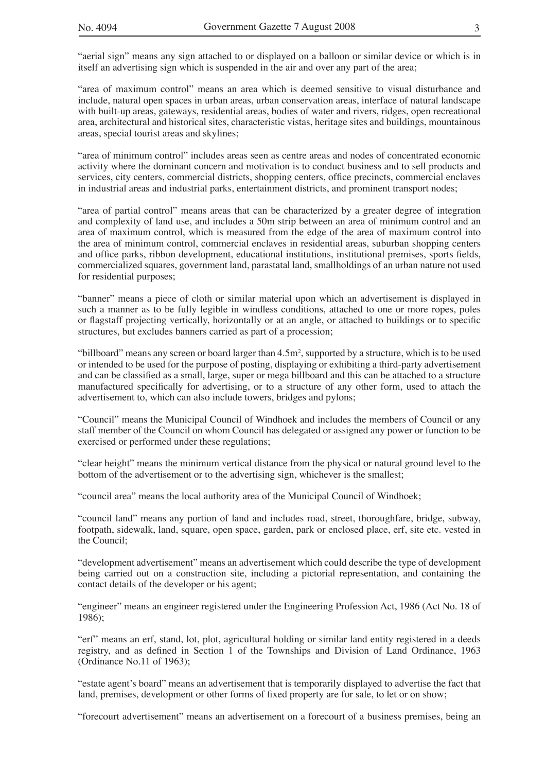"aerial sign" means any sign attached to or displayed on a balloon or similar device or which is in itself an advertising sign which is suspended in the air and over any part of the area;

"area of maximum control" means an area which is deemed sensitive to visual disturbance and include, natural open spaces in urban areas, urban conservation areas, interface of natural landscape with built-up areas, gateways, residential areas, bodies of water and rivers, ridges, open recreational area, architectural and historical sites, characteristic vistas, heritage sites and buildings, mountainous areas, special tourist areas and skylines;

"area of minimum control" includes areas seen as centre areas and nodes of concentrated economic activity where the dominant concern and motivation is to conduct business and to sell products and services, city centers, commercial districts, shopping centers, office precincts, commercial enclaves in industrial areas and industrial parks, entertainment districts, and prominent transport nodes;

"area of partial control" means areas that can be characterized by a greater degree of integration and complexity of land use, and includes a 50m strip between an area of minimum control and an area of maximum control, which is measured from the edge of the area of maximum control into the area of minimum control, commercial enclaves in residential areas, suburban shopping centers and office parks, ribbon development, educational institutions, institutional premises, sports fields, commercialized squares, government land, parastatal land, smallholdings of an urban nature not used for residential purposes;

"banner" means a piece of cloth or similar material upon which an advertisement is displayed in such a manner as to be fully legible in windless conditions, attached to one or more ropes, poles or flagstaff projecting vertically, horizontally or at an angle, or attached to buildings or to specific structures, but excludes banners carried as part of a procession;

"billboard" means any screen or board larger than  $4.5m^2$ , supported by a structure, which is to be used or intended to be used for the purpose of posting, displaying or exhibiting a third-party advertisement and can be classified as a small, large, super or mega billboard and this can be attached to a structure manufactured specifically for advertising, or to a structure of any other form, used to attach the advertisement to, which can also include towers, bridges and pylons;

"Council" means the Municipal Council of Windhoek and includes the members of Council or any staff member of the Council on whom Council has delegated or assigned any power or function to be exercised or performed under these regulations;

"clear height" means the minimum vertical distance from the physical or natural ground level to the bottom of the advertisement or to the advertising sign, whichever is the smallest;

"council area" means the local authority area of the Municipal Council of Windhoek;

"council land" means any portion of land and includes road, street, thoroughfare, bridge, subway, footpath, sidewalk, land, square, open space, garden, park or enclosed place, erf, site etc. vested in the Council;

"development advertisement" means an advertisement which could describe the type of development being carried out on a construction site, including a pictorial representation, and containing the contact details of the developer or his agent;

"engineer" means an engineer registered under the Engineering Profession Act, 1986 (Act No. 18 of 1986);

"erf" means an erf, stand, lot, plot, agricultural holding or similar land entity registered in a deeds registry, and as defined in Section 1 of the Townships and Division of Land Ordinance, 1963 (Ordinance No.11 of 1963);

"estate agent's board" means an advertisement that is temporarily displayed to advertise the fact that land, premises, development or other forms of fixed property are for sale, to let or on show;

"forecourt advertisement" means an advertisement on a forecourt of a business premises, being an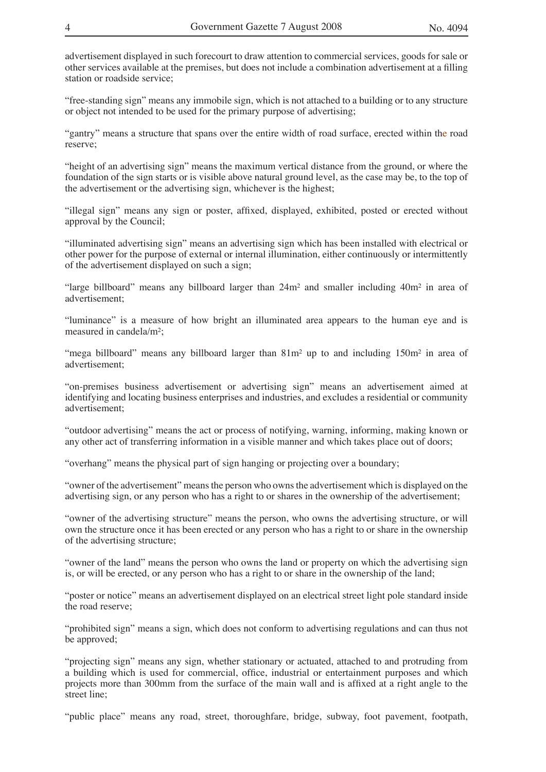advertisement displayed in such forecourt to draw attention to commercial services, goods for sale or other services available at the premises, but does not include a combination advertisement at a filling station or roadside service;

"free-standing sign" means any immobile sign, which is not attached to a building or to any structure or object not intended to be used for the primary purpose of advertising;

"gantry" means a structure that spans over the entire width of road surface, erected within the road reserve;

"height of an advertising sign" means the maximum vertical distance from the ground, or where the foundation of the sign starts or is visible above natural ground level, as the case may be, to the top of the advertisement or the advertising sign, whichever is the highest;

"illegal sign" means any sign or poster, affixed, displayed, exhibited, posted or erected without approval by the Council;

"illuminated advertising sign" means an advertising sign which has been installed with electrical or other power for the purpose of external or internal illumination, either continuously or intermittently of the advertisement displayed on such a sign;

"large billboard" means any billboard larger than  $24m<sup>2</sup>$  and smaller including  $40m<sup>2</sup>$  in area of advertisement;

"luminance" is a measure of how bright an illuminated area appears to the human eye and is measured in candela/m²;

"mega billboard" means any billboard larger than 81m² up to and including 150m² in area of advertisement;

"on-premises business advertisement or advertising sign" means an advertisement aimed at identifying and locating business enterprises and industries, and excludes a residential or community advertisement;

"outdoor advertising" means the act or process of notifying, warning, informing, making known or any other act of transferring information in a visible manner and which takes place out of doors;

"overhang" means the physical part of sign hanging or projecting over a boundary;

"owner of the advertisement" means the person who owns the advertisement which is displayed on the advertising sign, or any person who has a right to or shares in the ownership of the advertisement;

"owner of the advertising structure" means the person, who owns the advertising structure, or will own the structure once it has been erected or any person who has a right to or share in the ownership of the advertising structure;

"owner of the land" means the person who owns the land or property on which the advertising sign is, or will be erected, or any person who has a right to or share in the ownership of the land;

"poster or notice" means an advertisement displayed on an electrical street light pole standard inside the road reserve;

"prohibited sign" means a sign, which does not conform to advertising regulations and can thus not be approved;

"projecting sign" means any sign, whether stationary or actuated, attached to and protruding from a building which is used for commercial, office, industrial or entertainment purposes and which projects more than 300mm from the surface of the main wall and is affixed at a right angle to the street line;

"public place" means any road, street, thoroughfare, bridge, subway, foot pavement, footpath,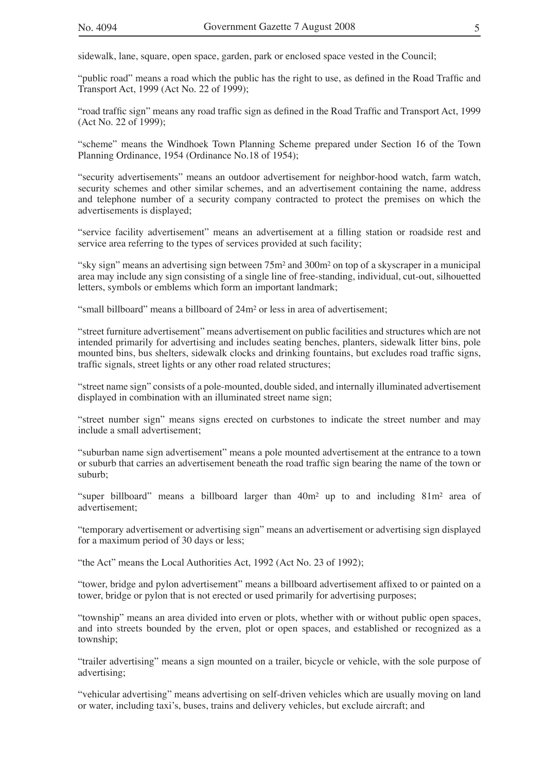sidewalk, lane, square, open space, garden, park or enclosed space vested in the Council;

"public road" means a road which the public has the right to use, as defined in the Road Traffic and Transport Act, 1999 (Act No. 22 of 1999);

"road traffic sign" means any road traffic sign as defined in the Road Traffic and Transport Act, 1999 (Act No. 22 of 1999);

"scheme" means the Windhoek Town Planning Scheme prepared under Section 16 of the Town Planning Ordinance, 1954 (Ordinance No.18 of 1954);

"security advertisements" means an outdoor advertisement for neighbor-hood watch, farm watch, security schemes and other similar schemes, and an advertisement containing the name, address and telephone number of a security company contracted to protect the premises on which the advertisements is displayed;

"service facility advertisement" means an advertisement at a filling station or roadside rest and service area referring to the types of services provided at such facility;

"sky sign" means an advertising sign between 75m² and 300m² on top of a skyscraper in a municipal area may include any sign consisting of a single line of free-standing, individual, cut-out, silhouetted letters, symbols or emblems which form an important landmark;

"small billboard" means a billboard of 24m² or less in area of advertisement;

"street furniture advertisement" means advertisement on public facilities and structures which are not intended primarily for advertising and includes seating benches, planters, sidewalk litter bins, pole mounted bins, bus shelters, sidewalk clocks and drinking fountains, but excludes road traffic signs, traffic signals, street lights or any other road related structures;

"street name sign" consists of a pole-mounted, double sided, and internally illuminated advertisement displayed in combination with an illuminated street name sign;

"street number sign" means signs erected on curbstones to indicate the street number and may include a small advertisement;

"suburban name sign advertisement" means a pole mounted advertisement at the entrance to a town or suburb that carries an advertisement beneath the road traffic sign bearing the name of the town or suburb;

"super billboard" means a billboard larger than  $40m^2$  up to and including  $81m^2$  area of advertisement;

"temporary advertisement or advertising sign" means an advertisement or advertising sign displayed for a maximum period of 30 days or less;

"the Act" means the Local Authorities Act, 1992 (Act No. 23 of 1992);

"tower, bridge and pylon advertisement" means a billboard advertisement affixed to or painted on a tower, bridge or pylon that is not erected or used primarily for advertising purposes;

"township" means an area divided into erven or plots, whether with or without public open spaces, and into streets bounded by the erven, plot or open spaces, and established or recognized as a township;

"trailer advertising" means a sign mounted on a trailer, bicycle or vehicle, with the sole purpose of advertising;

"vehicular advertising" means advertising on self-driven vehicles which are usually moving on land or water, including taxi's, buses, trains and delivery vehicles, but exclude aircraft; and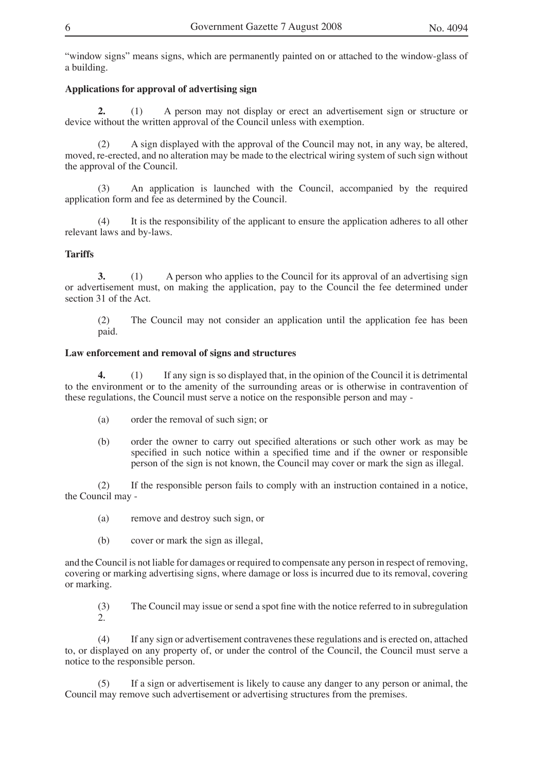"window signs" means signs, which are permanently painted on or attached to the window-glass of a building.

#### **Applications for approval of advertising sign**

**2.** (1) A person may not display or erect an advertisement sign or structure or device without the written approval of the Council unless with exemption.

(2) A sign displayed with the approval of the Council may not, in any way, be altered, moved, re-erected, and no alteration may be made to the electrical wiring system of such sign without the approval of the Council.

(3) An application is launched with the Council, accompanied by the required application form and fee as determined by the Council.

(4) It is the responsibility of the applicant to ensure the application adheres to all other relevant laws and by-laws.

#### **Tariffs**

**3.** (1) A person who applies to the Council for its approval of an advertising sign or advertisement must, on making the application, pay to the Council the fee determined under section 31 of the Act.

(2) The Council may not consider an application until the application fee has been paid.

#### **Law enforcement and removal of signs and structures**

**4.** (1) If any sign is so displayed that, in the opinion of the Council it is detrimental to the environment or to the amenity of the surrounding areas or is otherwise in contravention of these regulations, the Council must serve a notice on the responsible person and may -

- (a) order the removal of such sign; or
- (b) order the owner to carry out specified alterations or such other work as may be specified in such notice within a specified time and if the owner or responsible person of the sign is not known, the Council may cover or mark the sign as illegal.

(2) If the responsible person fails to comply with an instruction contained in a notice, the Council may -

- (a) remove and destroy such sign, or
- (b) cover or mark the sign as illegal,

and the Council is not liable for damages or required to compensate any person in respect of removing, covering or marking advertising signs, where damage or loss is incurred due to its removal, covering or marking.

(3) The Council may issue or send a spot fine with the notice referred to in subregulation 2.

(4) If any sign or advertisement contravenes these regulations and is erected on, attached to, or displayed on any property of, or under the control of the Council, the Council must serve a notice to the responsible person.

(5) If a sign or advertisement is likely to cause any danger to any person or animal, the Council may remove such advertisement or advertising structures from the premises.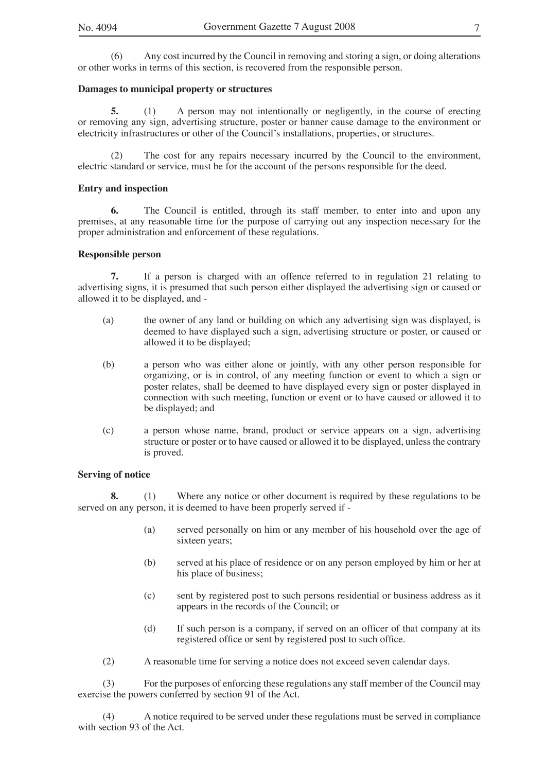(6) Any cost incurred by the Council in removing and storing a sign, or doing alterations or other works in terms of this section, is recovered from the responsible person.

#### **Damages to municipal property or structures**

**5.** (1) A person may not intentionally or negligently, in the course of erecting or removing any sign, advertising structure, poster or banner cause damage to the environment or electricity infrastructures or other of the Council's installations, properties, or structures.

(2) The cost for any repairs necessary incurred by the Council to the environment, electric standard or service, must be for the account of the persons responsible for the deed.

#### **Entry and inspection**

**6.** The Council is entitled, through its staff member, to enter into and upon any premises, at any reasonable time for the purpose of carrying out any inspection necessary for the proper administration and enforcement of these regulations.

#### **Responsible person**

**7.** If a person is charged with an offence referred to in regulation 21 relating to advertising signs, it is presumed that such person either displayed the advertising sign or caused or allowed it to be displayed, and -

- (a) the owner of any land or building on which any advertising sign was displayed, is deemed to have displayed such a sign, advertising structure or poster, or caused or allowed it to be displayed;
- (b) a person who was either alone or jointly, with any other person responsible for organizing, or is in control, of any meeting function or event to which a sign or poster relates, shall be deemed to have displayed every sign or poster displayed in connection with such meeting, function or event or to have caused or allowed it to be displayed; and
- (c) a person whose name, brand, product or service appears on a sign, advertising structure or poster or to have caused or allowed it to be displayed, unless the contrary is proved.

#### **Serving of notice**

**8.** (1) Where any notice or other document is required by these regulations to be served on any person, it is deemed to have been properly served if -

- (a) served personally on him or any member of his household over the age of sixteen years;
- (b) served at his place of residence or on any person employed by him or her at his place of business;
- (c) sent by registered post to such persons residential or business address as it appears in the records of the Council; or
- (d) If such person is a company, if served on an officer of that company at its registered office or sent by registered post to such office.
- (2) A reasonable time for serving a notice does not exceed seven calendar days.

(3) For the purposes of enforcing these regulations any staff member of the Council may exercise the powers conferred by section 91 of the Act.

(4) A notice required to be served under these regulations must be served in compliance with section 93 of the Act.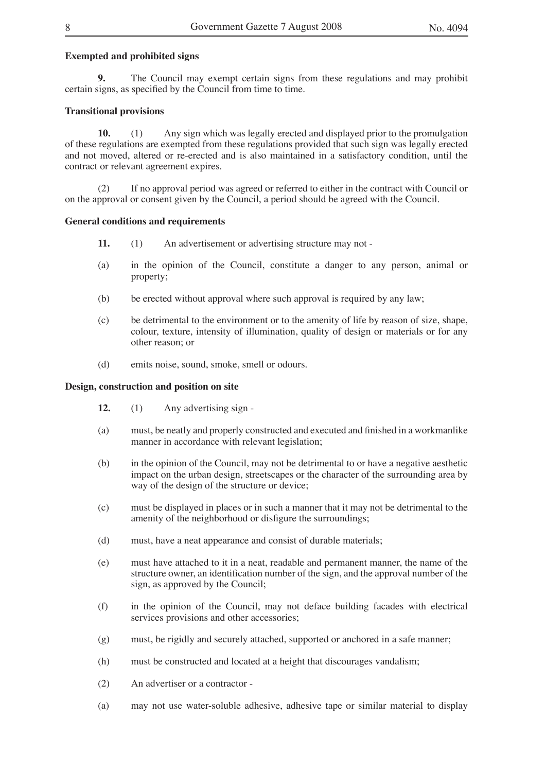#### **Exempted and prohibited signs**

**9.** The Council may exempt certain signs from these regulations and may prohibit certain signs, as specified by the Council from time to time.

#### **Transitional provisions**

**10.** (1) Any sign which was legally erected and displayed prior to the promulgation of these regulations are exempted from these regulations provided that such sign was legally erected and not moved, altered or re-erected and is also maintained in a satisfactory condition, until the contract or relevant agreement expires.

(2) If no approval period was agreed or referred to either in the contract with Council or on the approval or consent given by the Council, a period should be agreed with the Council.

#### **General conditions and requirements**

- **11.** (1) An advertisement or advertising structure may not -
- (a) in the opinion of the Council, constitute a danger to any person, animal or property;
- (b) be erected without approval where such approval is required by any law;
- (c) be detrimental to the environment or to the amenity of life by reason of size, shape, colour, texture, intensity of illumination, quality of design or materials or for any other reason; or
- (d) emits noise, sound, smoke, smell or odours.

#### **Design, construction and position on site**

- **12.** (1) Any advertising sign -
- (a) must, be neatly and properly constructed and executed and finished in a workmanlike manner in accordance with relevant legislation;
- (b) in the opinion of the Council, may not be detrimental to or have a negative aesthetic impact on the urban design, streetscapes or the character of the surrounding area by way of the design of the structure or device;
- (c) must be displayed in places or in such a manner that it may not be detrimental to the amenity of the neighborhood or disfigure the surroundings;
- (d) must, have a neat appearance and consist of durable materials;
- (e) must have attached to it in a neat, readable and permanent manner, the name of the structure owner, an identification number of the sign, and the approval number of the sign, as approved by the Council;
- (f) in the opinion of the Council, may not deface building facades with electrical services provisions and other accessories;
- (g) must, be rigidly and securely attached, supported or anchored in a safe manner;
- (h) must be constructed and located at a height that discourages vandalism;
- (2) An advertiser or a contractor -
- (a) may not use water-soluble adhesive, adhesive tape or similar material to display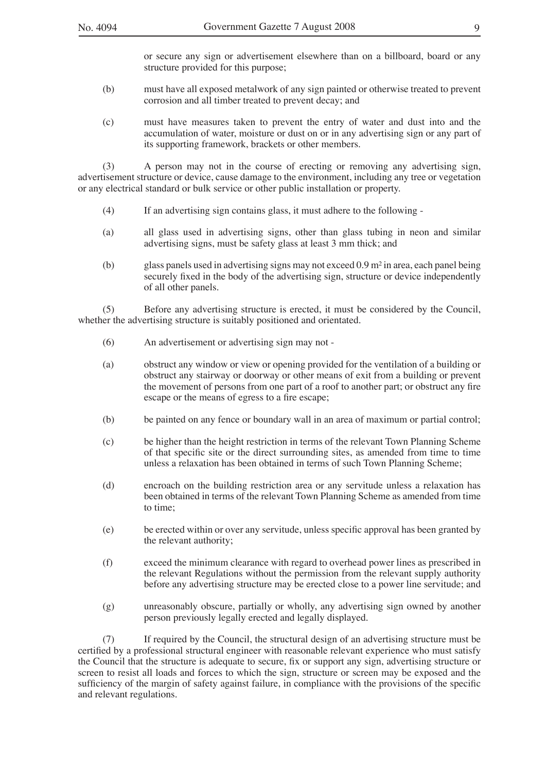or secure any sign or advertisement elsewhere than on a billboard, board or any structure provided for this purpose;

- (b) must have all exposed metalwork of any sign painted or otherwise treated to prevent corrosion and all timber treated to prevent decay; and
- (c) must have measures taken to prevent the entry of water and dust into and the accumulation of water, moisture or dust on or in any advertising sign or any part of its supporting framework, brackets or other members.

(3) A person may not in the course of erecting or removing any advertising sign, advertisement structure or device, cause damage to the environment, including any tree or vegetation or any electrical standard or bulk service or other public installation or property.

- (4) If an advertising sign contains glass, it must adhere to the following -
- (a) all glass used in advertising signs, other than glass tubing in neon and similar advertising signs, must be safety glass at least 3 mm thick; and
- (b) glass panels used in advertising signs may not exceed 0.9 m² in area, each panel being securely fixed in the body of the advertising sign, structure or device independently of all other panels.

(5) Before any advertising structure is erected, it must be considered by the Council, whether the advertising structure is suitably positioned and orientated.

- (6) An advertisement or advertising sign may not -
- (a) obstruct any window or view or opening provided for the ventilation of a building or obstruct any stairway or doorway or other means of exit from a building or prevent the movement of persons from one part of a roof to another part; or obstruct any fire escape or the means of egress to a fire escape;
- (b) be painted on any fence or boundary wall in an area of maximum or partial control;
- (c) be higher than the height restriction in terms of the relevant Town Planning Scheme of that specific site or the direct surrounding sites, as amended from time to time unless a relaxation has been obtained in terms of such Town Planning Scheme;
- (d) encroach on the building restriction area or any servitude unless a relaxation has been obtained in terms of the relevant Town Planning Scheme as amended from time to time;
- (e) be erected within or over any servitude, unless specific approval has been granted by the relevant authority;
- (f) exceed the minimum clearance with regard to overhead power lines as prescribed in the relevant Regulations without the permission from the relevant supply authority before any advertising structure may be erected close to a power line servitude; and
- (g) unreasonably obscure, partially or wholly, any advertising sign owned by another person previously legally erected and legally displayed.

(7) If required by the Council, the structural design of an advertising structure must be certified by a professional structural engineer with reasonable relevant experience who must satisfy the Council that the structure is adequate to secure, fix or support any sign, advertising structure or screen to resist all loads and forces to which the sign, structure or screen may be exposed and the sufficiency of the margin of safety against failure, in compliance with the provisions of the specific and relevant regulations.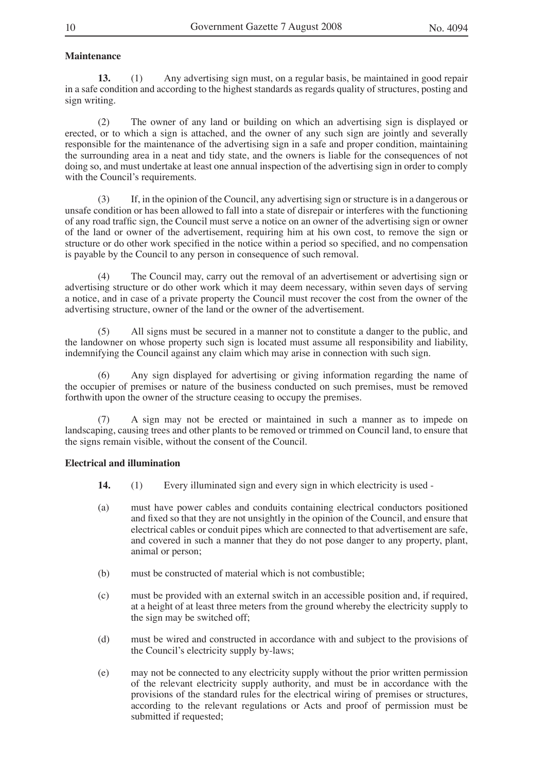#### **Maintenance**

**13.** (1) Any advertising sign must, on a regular basis, be maintained in good repair in a safe condition and according to the highest standards as regards quality of structures, posting and sign writing.

(2) The owner of any land or building on which an advertising sign is displayed or erected, or to which a sign is attached, and the owner of any such sign are jointly and severally responsible for the maintenance of the advertising sign in a safe and proper condition, maintaining the surrounding area in a neat and tidy state, and the owners is liable for the consequences of not doing so, and must undertake at least one annual inspection of the advertising sign in order to comply with the Council's requirements.

(3) If, in the opinion of the Council, any advertising sign or structure is in a dangerous or unsafe condition or has been allowed to fall into a state of disrepair or interferes with the functioning of any road traffic sign, the Council must serve a notice on an owner of the advertising sign or owner of the land or owner of the advertisement, requiring him at his own cost, to remove the sign or structure or do other work specified in the notice within a period so specified, and no compensation is payable by the Council to any person in consequence of such removal.

(4) The Council may, carry out the removal of an advertisement or advertising sign or advertising structure or do other work which it may deem necessary, within seven days of serving a notice, and in case of a private property the Council must recover the cost from the owner of the advertising structure, owner of the land or the owner of the advertisement.

(5) All signs must be secured in a manner not to constitute a danger to the public, and the landowner on whose property such sign is located must assume all responsibility and liability, indemnifying the Council against any claim which may arise in connection with such sign.

(6) Any sign displayed for advertising or giving information regarding the name of the occupier of premises or nature of the business conducted on such premises, must be removed forthwith upon the owner of the structure ceasing to occupy the premises.

(7) A sign may not be erected or maintained in such a manner as to impede on landscaping, causing trees and other plants to be removed or trimmed on Council land, to ensure that the signs remain visible, without the consent of the Council.

#### **Electrical and illumination**

- **14.** (1) Every illuminated sign and every sign in which electricity is used -
- (a) must have power cables and conduits containing electrical conductors positioned and fixed so that they are not unsightly in the opinion of the Council, and ensure that electrical cables or conduit pipes which are connected to that advertisement are safe, and covered in such a manner that they do not pose danger to any property, plant, animal or person;
- (b) must be constructed of material which is not combustible;
- (c) must be provided with an external switch in an accessible position and, if required, at a height of at least three meters from the ground whereby the electricity supply to the sign may be switched off;
- (d) must be wired and constructed in accordance with and subject to the provisions of the Council's electricity supply by-laws;
- (e) may not be connected to any electricity supply without the prior written permission of the relevant electricity supply authority, and must be in accordance with the provisions of the standard rules for the electrical wiring of premises or structures, according to the relevant regulations or Acts and proof of permission must be submitted if requested;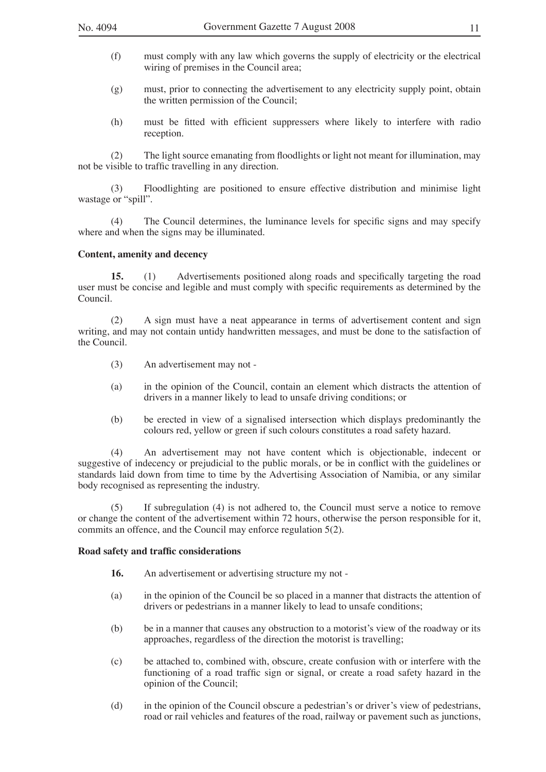- (f) must comply with any law which governs the supply of electricity or the electrical wiring of premises in the Council area;
- (g) must, prior to connecting the advertisement to any electricity supply point, obtain the written permission of the Council;
- (h) must be fitted with efficient suppressers where likely to interfere with radio reception.

(2) The light source emanating from floodlights or light not meant for illumination, may not be visible to traffic travelling in any direction.

(3) Floodlighting are positioned to ensure effective distribution and minimise light wastage or "spill".

(4) The Council determines, the luminance levels for specific signs and may specify where and when the signs may be illuminated.

#### **Content, amenity and decency**

**15.** (1) Advertisements positioned along roads and specifically targeting the road user must be concise and legible and must comply with specific requirements as determined by the Council.

(2) A sign must have a neat appearance in terms of advertisement content and sign writing, and may not contain untidy handwritten messages, and must be done to the satisfaction of the Council.

- (3) An advertisement may not -
- (a) in the opinion of the Council, contain an element which distracts the attention of drivers in a manner likely to lead to unsafe driving conditions; or
- (b) be erected in view of a signalised intersection which displays predominantly the colours red, yellow or green if such colours constitutes a road safety hazard.

(4) An advertisement may not have content which is objectionable, indecent or suggestive of indecency or prejudicial to the public morals, or be in conflict with the guidelines or standards laid down from time to time by the Advertising Association of Namibia, or any similar body recognised as representing the industry.

(5) If subregulation (4) is not adhered to, the Council must serve a notice to remove or change the content of the advertisement within 72 hours, otherwise the person responsible for it, commits an offence, and the Council may enforce regulation 5(2).

#### **Road safety and traffic considerations**

- **16.** An advertisement or advertising structure my not -
- (a) in the opinion of the Council be so placed in a manner that distracts the attention of drivers or pedestrians in a manner likely to lead to unsafe conditions;
- (b) be in a manner that causes any obstruction to a motorist's view of the roadway or its approaches, regardless of the direction the motorist is travelling;
- (c) be attached to, combined with, obscure, create confusion with or interfere with the functioning of a road traffic sign or signal, or create a road safety hazard in the opinion of the Council;
- (d) in the opinion of the Council obscure a pedestrian's or driver's view of pedestrians, road or rail vehicles and features of the road, railway or pavement such as junctions,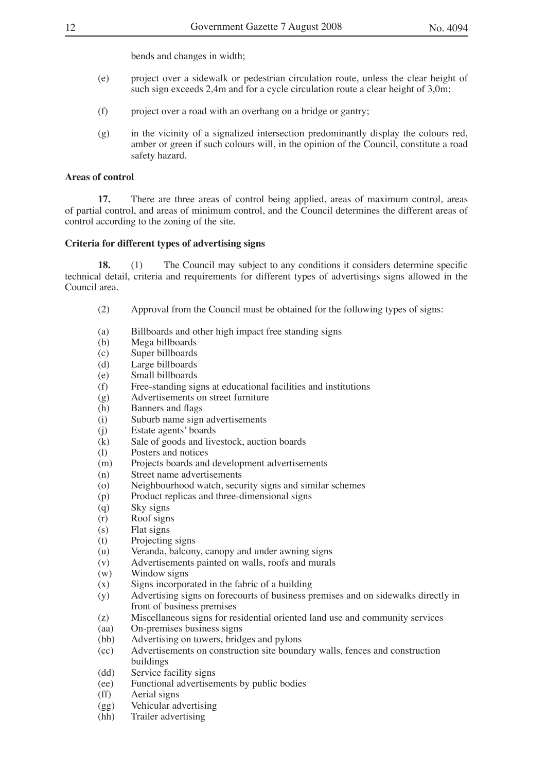bends and changes in width;

- (e) project over a sidewalk or pedestrian circulation route, unless the clear height of such sign exceeds 2,4m and for a cycle circulation route a clear height of 3,0m;
- (f) project over a road with an overhang on a bridge or gantry;
- (g) in the vicinity of a signalized intersection predominantly display the colours red, amber or green if such colours will, in the opinion of the Council, constitute a road safety hazard.

#### **Areas of control**

**17.** There are three areas of control being applied, areas of maximum control, areas of partial control, and areas of minimum control, and the Council determines the different areas of control according to the zoning of the site.

#### **Criteria for different types of advertising signs**

**18.** (1) The Council may subject to any conditions it considers determine specific technical detail, criteria and requirements for different types of advertisings signs allowed in the Council area.

- (2) Approval from the Council must be obtained for the following types of signs:
- (a) Billboards and other high impact free standing signs<br>
(b) Mega billboards
- (b) Mega billboards<br>(c) Super billboards
- Super billboards
- (d) Large billboards<br>(e) Small billboards
- (e) Small billboards<br>(f) Free-standing sig
- (f) Free-standing signs at educational facilities and institutions (g) Advertisements on street furniture
- Advertisements on street furniture
- (h) Banners and flags<br>(i) Suburb name sign
- (i) Suburb name sign advertisements<br>(i) Estate agents' boards
- (j) Estate agents' boards<br>(k) Sale of goods and live
- Sale of goods and livestock, auction boards
- (l) Posters and notices
- (m) Projects boards and development advertisements
- (n) Street name advertisements
- (o) Neighbourhood watch, security signs and similar schemes<br>(p) Product replicas and three-dimensional signs
- (p) Product replicas and three-dimensional signs<br>(q) Sky signs
- (q) Sky signs<br>(r) Roof signs
- Roof signs
- (s) Flat signs<br>(t) Projecting
- (t) Projecting signs<br>(u) Veranda, balcon
- Veranda, balcony, canopy and under awning signs
- (v) Advertisements painted on walls, roofs and murals
- (w) Window signs
- (x) Signs incorporated in the fabric of a building
- (y) Advertising signs on forecourts of business premises and on sidewalks directly in front of business premises
- (z) Miscellaneous signs for residential oriented land use and community services (aa) On-premises business signs
- (aa) On-premises business signs<br>(bb) Advertising on towers, bridged
- Advertising on towers, bridges and pylons
- (cc) Advertisements on construction site boundary walls, fences and construction buildings
- (dd) Service facility signs
- (ee) Functional advertisements by public bodies
- 
- (ff) Aerial signs<br>(gg) Vehicular ad
- (gg) Vehicular advertising<br>(hh) Trailer advertising Trailer advertising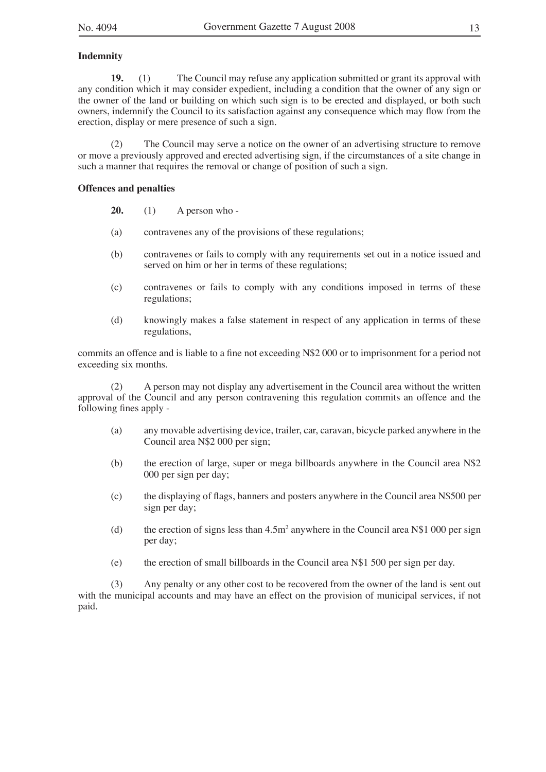#### **Indemnity**

**19.** (1) The Council may refuse any application submitted or grant its approval with any condition which it may consider expedient, including a condition that the owner of any sign or the owner of the land or building on which such sign is to be erected and displayed, or both such owners, indemnify the Council to its satisfaction against any consequence which may flow from the erection, display or mere presence of such a sign.

(2) The Council may serve a notice on the owner of an advertising structure to remove or move a previously approved and erected advertising sign, if the circumstances of a site change in such a manner that requires the removal or change of position of such a sign.

#### **Offences and penalties**

**20.** (1) A person who -

- (a) contravenes any of the provisions of these regulations;
- (b) contravenes or fails to comply with any requirements set out in a notice issued and served on him or her in terms of these regulations;
- (c) contravenes or fails to comply with any conditions imposed in terms of these regulations;
- (d) knowingly makes a false statement in respect of any application in terms of these regulations,

commits an offence and is liable to a fine not exceeding N\$2 000 or to imprisonment for a period not exceeding six months.

(2) A person may not display any advertisement in the Council area without the written approval of the Council and any person contravening this regulation commits an offence and the following fines apply -

- (a) any movable advertising device, trailer, car, caravan, bicycle parked anywhere in the Council area N\$2 000 per sign;
- (b) the erection of large, super or mega billboards anywhere in the Council area N\$2 000 per sign per day;
- (c) the displaying of flags, banners and posters anywhere in the Council area N\$500 per sign per day;
- (d) the erection of signs less than  $4.5m^2$  anywhere in the Council area N\$1 000 per sign per day;
- (e) the erection of small billboards in the Council area N\$1 500 per sign per day.

(3) Any penalty or any other cost to be recovered from the owner of the land is sent out with the municipal accounts and may have an effect on the provision of municipal services, if not paid.